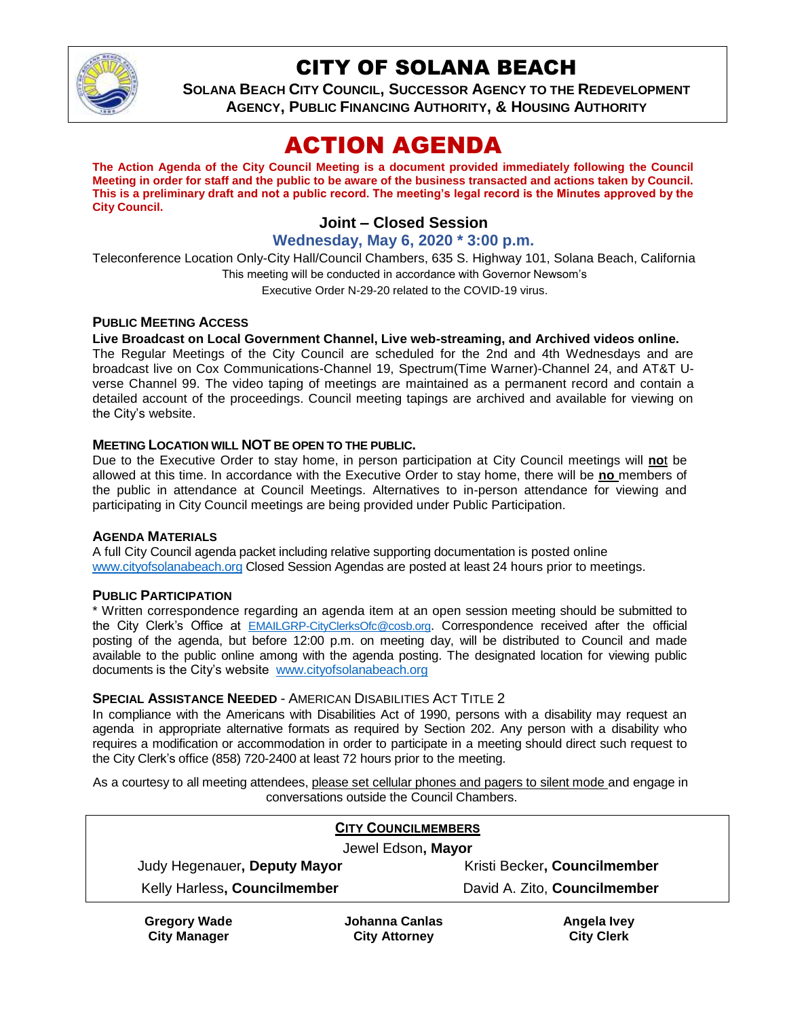

## CITY OF SOLANA BEACH

**SOLANA BEACH CITY COUNCIL, SUCCESSOR AGENCY TO THE REDEVELOPMENT AGENCY, PUBLIC FINANCING AUTHORITY, & HOUSING AUTHORITY**

# ACTION AGENDA

**The Action Agenda of the City Council Meeting is a document provided immediately following the Council Meeting in order for staff and the public to be aware of the business transacted and actions taken by Council. This is a preliminary draft and not a public record. The meeting's legal record is the Minutes approved by the City Council.**

## **Joint – Closed Session**

### **Wednesday, May 6, 2020 \* 3:00 p.m.**

Teleconference Location Only-City Hall/Council Chambers, 635 S. Highway 101, Solana Beach, California This meeting will be conducted in accordance with Governor Newsom's Executive Order N-29-20 related to the COVID-19 virus.

#### **PUBLIC MEETING ACCESS**

#### **Live Broadcast on Local Government Channel, Live web-streaming, and Archived videos online.**

The Regular Meetings of the City Council are scheduled for the 2nd and 4th Wednesdays and are broadcast live on Cox Communications-Channel 19, Spectrum(Time Warner)-Channel 24, and AT&T Uverse Channel 99. The video taping of meetings are maintained as a permanent record and contain a detailed account of the proceedings. Council meeting tapings are archived and available for viewing on the City's website.

#### **MEETING LOCATION WILL NOT BE OPEN TO THE PUBLIC.**

Due to the Executive Order to stay home, in person participation at City Council meetings will **no**t be allowed at this time. In accordance with the Executive Order to stay home, there will be **no** members of the public in attendance at Council Meetings. Alternatives to in-person attendance for viewing and participating in City Council meetings are being provided under Public Participation.

#### **AGENDA MATERIALS**

A full City Council agenda packet including relative supporting documentation is posted online [www.cityofsolanabeach.org](https://urldefense.proofpoint.com/v2/url?u=http-3A__www.cityofsolanabeach.org&d=DwQFAg&c=euGZstcaTDllvimEN8b7jXrwqOf-v5A_CdpgnVfiiMM&r=1XAsCUuqwK_tji2t0s1uIQ&m=wny2RVfZJ2tN24LkqZmkUWNpwL_peNtTZUBlTBZiMM4&s=6ATguqxJUOD7VVtloplAbyuyNaVcEh6Fl4q1iw55lCY&e=) Closed Session Agendas are posted at least 24 hours prior to meetings.

#### **PUBLIC PARTICIPATION**

\* Written correspondence regarding an agenda item at an open session meeting should be submitted to the City Clerk's Office at [EMAILGRP-CityClerksOfc@cosb.org](mailto:EMAILGRP-CityClerksOfc@cosb.org). Correspondence received after the official posting of the agenda, but before 12:00 p.m. on meeting day, will be distributed to Council and made available to the public online among with the agenda posting. The designated location for viewing public documents is the City's website [www.cityofsolanabeach.org](http://www.cityofsolanabeach.org/)

#### **SPECIAL ASSISTANCE NEEDED** - AMERICAN DISABILITIES ACT TITLE 2

In compliance with the Americans with Disabilities Act of 1990, persons with a disability may request an agenda in appropriate alternative formats as required by Section 202. Any person with a disability who requires a modification or accommodation in order to participate in a meeting should direct such request to the City Clerk's office (858) 720-2400 at least 72 hours prior to the meeting.

As a courtesy to all meeting attendees, please set cellular phones and pagers to silent mode and engage in conversations outside the Council Chambers.

| <b>CITY COUNCILMEMBERS</b>   |                |                              |
|------------------------------|----------------|------------------------------|
| Jewel Edson, Mayor           |                |                              |
| Judy Hegenauer, Deputy Mayor |                | Kristi Becker, Councilmember |
| Kelly Harless, Councilmember |                | David A. Zito, Councilmember |
| <b>Gregory Wade</b>          | Johanna Canlas | Angela Ivey                  |

**City Manager**

**Johanna Canlas City Attorney**

**Angela Ivey City Clerk**